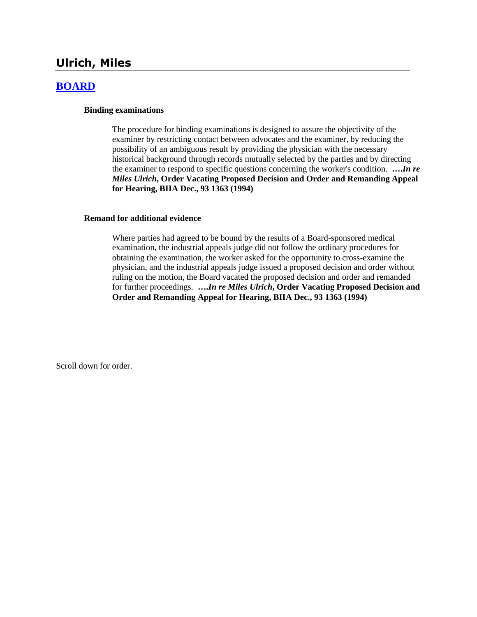# **Ulrich, Miles**

## **[BOARD](http://www.biia.wa.gov/SDSubjectIndex.html#BOARD)**

#### **Binding examinations**

The procedure for binding examinations is designed to assure the objectivity of the examiner by restricting contact between advocates and the examiner, by reducing the possibility of an ambiguous result by providing the physician with the necessary historical background through records mutually selected by the parties and by directing the examiner to respond to specific questions concerning the worker's condition. **….***In re Miles Ulrich***, Order Vacating Proposed Decision and Order and Remanding Appeal for Hearing, BIIA Dec., 93 1363 (1994)** 

#### **Remand for additional evidence**

Where parties had agreed to be bound by the results of a Board-sponsored medical examination, the industrial appeals judge did not follow the ordinary procedures for obtaining the examination, the worker asked for the opportunity to cross-examine the physician, and the industrial appeals judge issued a proposed decision and order without ruling on the motion, the Board vacated the proposed decision and order and remanded for further proceedings. **….***In re Miles Ulrich***, Order Vacating Proposed Decision and Order and Remanding Appeal for Hearing, BIIA Dec., 93 1363 (1994)** 

Scroll down for order.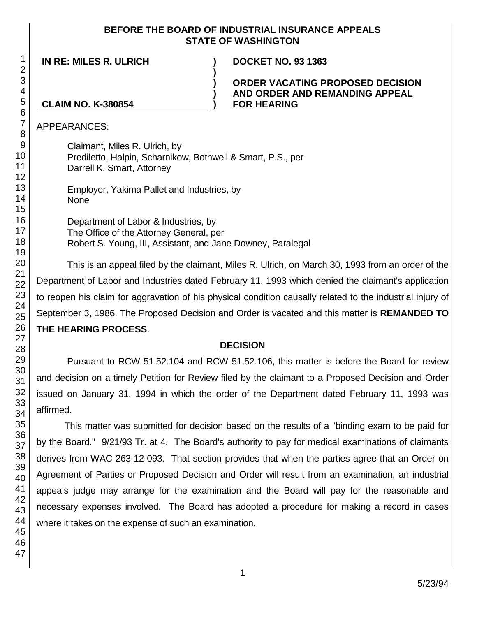### **BEFORE THE BOARD OF INDUSTRIAL INSURANCE APPEALS STATE OF WASHINGTON**

**) ) )**

**IN RE: MILES R. ULRICH ) DOCKET NO. 93 1363**

**ORDER VACATING PROPOSED DECISION AND ORDER AND REMANDING APPEAL** 

## **CLAIM NO. K-380854 ) FOR HEARING**

APPEARANCES:

Claimant, Miles R. Ulrich, by Prediletto, Halpin, Scharnikow, Bothwell & Smart, P.S., per Darrell K. Smart, Attorney

Employer, Yakima Pallet and Industries, by None

Department of Labor & Industries, by The Office of the Attorney General, per Robert S. Young, III, Assistant, and Jane Downey, Paralegal

This is an appeal filed by the claimant, Miles R. Ulrich, on March 30, 1993 from an order of the Department of Labor and Industries dated February 11, 1993 which denied the claimant's application to reopen his claim for aggravation of his physical condition causally related to the industrial injury of September 3, 1986. The Proposed Decision and Order is vacated and this matter is **REMANDED TO THE HEARING PROCESS**.

# **DECISION**

Pursuant to RCW 51.52.104 and RCW 51.52.106, this matter is before the Board for review and decision on a timely Petition for Review filed by the claimant to a Proposed Decision and Order issued on January 31, 1994 in which the order of the Department dated February 11, 1993 was affirmed.

This matter was submitted for decision based on the results of a "binding exam to be paid for by the Board." 9/21/93 Tr. at 4. The Board's authority to pay for medical examinations of claimants derives from WAC 263-12-093. That section provides that when the parties agree that an Order on Agreement of Parties or Proposed Decision and Order will result from an examination, an industrial appeals judge may arrange for the examination and the Board will pay for the reasonable and necessary expenses involved. The Board has adopted a procedure for making a record in cases where it takes on the expense of such an examination.

1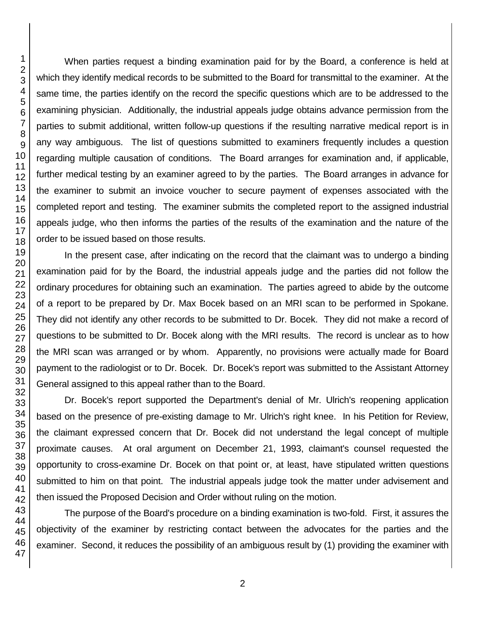When parties request a binding examination paid for by the Board, a conference is held at which they identify medical records to be submitted to the Board for transmittal to the examiner. At the same time, the parties identify on the record the specific questions which are to be addressed to the examining physician. Additionally, the industrial appeals judge obtains advance permission from the parties to submit additional, written follow-up questions if the resulting narrative medical report is in any way ambiguous. The list of questions submitted to examiners frequently includes a question regarding multiple causation of conditions. The Board arranges for examination and, if applicable, further medical testing by an examiner agreed to by the parties. The Board arranges in advance for the examiner to submit an invoice voucher to secure payment of expenses associated with the completed report and testing. The examiner submits the completed report to the assigned industrial appeals judge, who then informs the parties of the results of the examination and the nature of the order to be issued based on those results.

In the present case, after indicating on the record that the claimant was to undergo a binding examination paid for by the Board, the industrial appeals judge and the parties did not follow the ordinary procedures for obtaining such an examination. The parties agreed to abide by the outcome of a report to be prepared by Dr. Max Bocek based on an MRI scan to be performed in Spokane. They did not identify any other records to be submitted to Dr. Bocek. They did not make a record of questions to be submitted to Dr. Bocek along with the MRI results. The record is unclear as to how the MRI scan was arranged or by whom. Apparently, no provisions were actually made for Board payment to the radiologist or to Dr. Bocek. Dr. Bocek's report was submitted to the Assistant Attorney General assigned to this appeal rather than to the Board.

Dr. Bocek's report supported the Department's denial of Mr. Ulrich's reopening application based on the presence of pre-existing damage to Mr. Ulrich's right knee. In his Petition for Review, the claimant expressed concern that Dr. Bocek did not understand the legal concept of multiple proximate causes. At oral argument on December 21, 1993, claimant's counsel requested the opportunity to cross-examine Dr. Bocek on that point or, at least, have stipulated written questions submitted to him on that point. The industrial appeals judge took the matter under advisement and then issued the Proposed Decision and Order without ruling on the motion.

The purpose of the Board's procedure on a binding examination is two-fold. First, it assures the objectivity of the examiner by restricting contact between the advocates for the parties and the examiner. Second, it reduces the possibility of an ambiguous result by (1) providing the examiner with